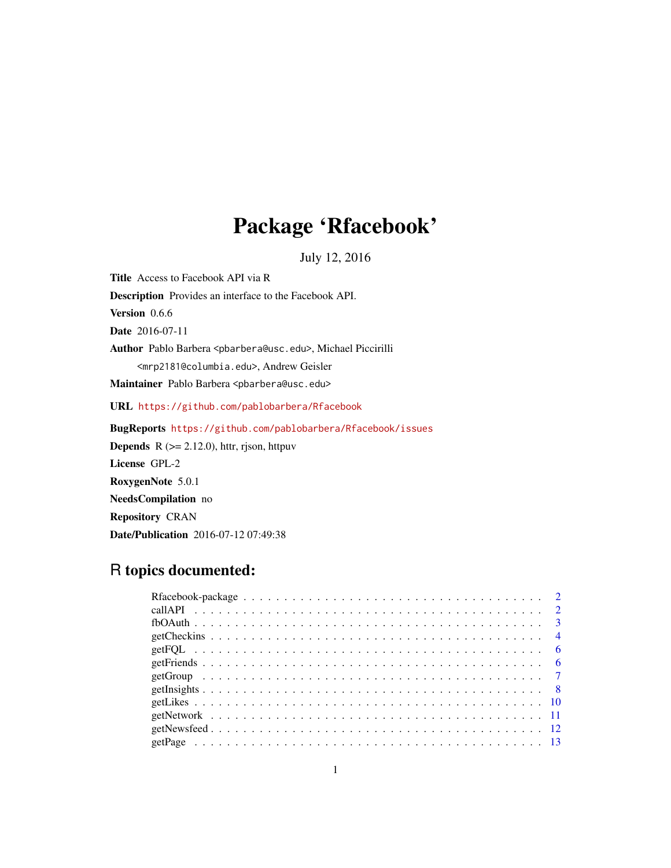## Package 'Rfacebook'

July 12, 2016

Title Access to Facebook API via R Description Provides an interface to the Facebook API. Version 0.6.6 Date 2016-07-11 Author Pablo Barbera <pbarbera@usc.edu>, Michael Piccirilli <mrp2181@columbia.edu>, Andrew Geisler Maintainer Pablo Barbera <pbarbera@usc.edu> URL <https://github.com/pablobarbera/Rfacebook> BugReports <https://github.com/pablobarbera/Rfacebook/issues> **Depends** R  $(>= 2.12.0)$ , httr, rjson, httpuv License GPL-2 RoxygenNote 5.0.1

NeedsCompilation no Repository CRAN Date/Publication 2016-07-12 07:49:38

### R topics documented: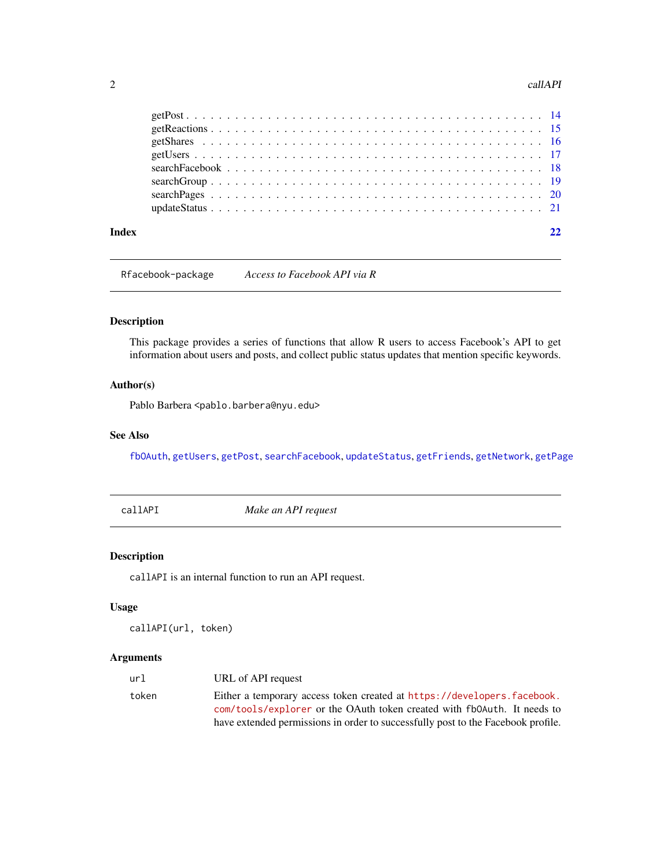#### <span id="page-1-0"></span>2 callAPI

Rfacebook-package *Access to Facebook API via R*

#### Description

This package provides a series of functions that allow R users to access Facebook's API to get information about users and posts, and collect public status updates that mention specific keywords.

#### Author(s)

Pablo Barbera <pablo.barbera@nyu.edu>

#### See Also

[fbOAuth](#page-2-1), [getUsers](#page-16-1), [getPost](#page-13-1), [searchFacebook](#page-17-1), [updateStatus](#page-20-1), [getFriends](#page-5-1), [getNetwork](#page-10-1), [getPage](#page-12-1)

callAPI *Make an API request*

#### Description

callAPI is an internal function to run an API request.

#### Usage

```
callAPI(url, token)
```
#### Arguments

| url   | URL of API request                                                               |
|-------|----------------------------------------------------------------------------------|
| token | Either a temporary access token created at https://developers.facebook.          |
|       | com/tools/explorer or the OAuth token created with fb0Auth. It needs to          |
|       | have extended permissions in order to successfully post to the Facebook profile. |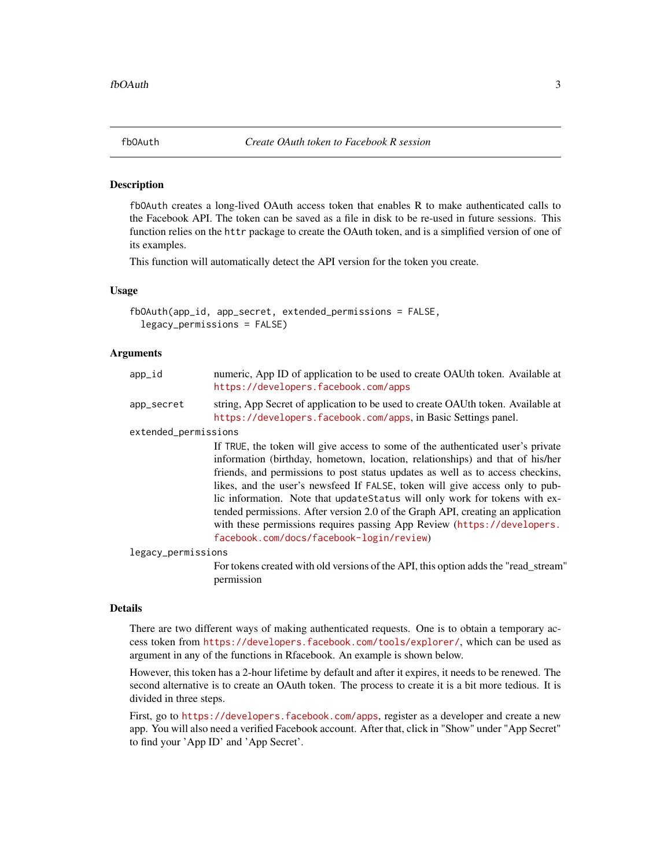<span id="page-2-1"></span><span id="page-2-0"></span>

fbOAuth creates a long-lived OAuth access token that enables R to make authenticated calls to the Facebook API. The token can be saved as a file in disk to be re-used in future sessions. This function relies on the httr package to create the OAuth token, and is a simplified version of one of its examples.

This function will automatically detect the API version for the token you create.

#### Usage

```
fbOAuth(app_id, app_secret, extended_permissions = FALSE,
  legacy_permissions = FALSE)
```
#### Arguments

| app_id               | numeric, App ID of application to be used to create OAUth token. Available at<br>https://developers.facebook.com/apps                                                                                                                                                                                                                                                                                                                                                                                                                                                                                                       |
|----------------------|-----------------------------------------------------------------------------------------------------------------------------------------------------------------------------------------------------------------------------------------------------------------------------------------------------------------------------------------------------------------------------------------------------------------------------------------------------------------------------------------------------------------------------------------------------------------------------------------------------------------------------|
| app_secret           | string, App Secret of application to be used to create OAUth token. Available at<br>https://developers.facebook.com/apps, in Basic Settings panel.                                                                                                                                                                                                                                                                                                                                                                                                                                                                          |
| extended_permissions |                                                                                                                                                                                                                                                                                                                                                                                                                                                                                                                                                                                                                             |
|                      | If TRUE, the token will give access to some of the authenticated user's private<br>information (birthday, hometown, location, relationships) and that of his/her<br>friends, and permissions to post status updates as well as to access checkins,<br>likes, and the user's newsfeed If FALSE, token will give access only to pub-<br>lic information. Note that update Status will only work for tokens with ex-<br>tended permissions. After version 2.0 of the Graph API, creating an application<br>with these permissions requires passing App Review (https://developers.<br>facebook.com/docs/facebook-login/review) |
| legacy_permissions   |                                                                                                                                                                                                                                                                                                                                                                                                                                                                                                                                                                                                                             |
|                      | For tokens created with old versions of the API, this option adds the "read_stream"<br>permission                                                                                                                                                                                                                                                                                                                                                                                                                                                                                                                           |

#### Details

There are two different ways of making authenticated requests. One is to obtain a temporary access token from <https://developers.facebook.com/tools/explorer/>, which can be used as argument in any of the functions in Rfacebook. An example is shown below.

However, this token has a 2-hour lifetime by default and after it expires, it needs to be renewed. The second alternative is to create an OAuth token. The process to create it is a bit more tedious. It is divided in three steps.

First, go to <https://developers.facebook.com/apps>, register as a developer and create a new app. You will also need a verified Facebook account. After that, click in "Show" under "App Secret" to find your 'App ID' and 'App Secret'.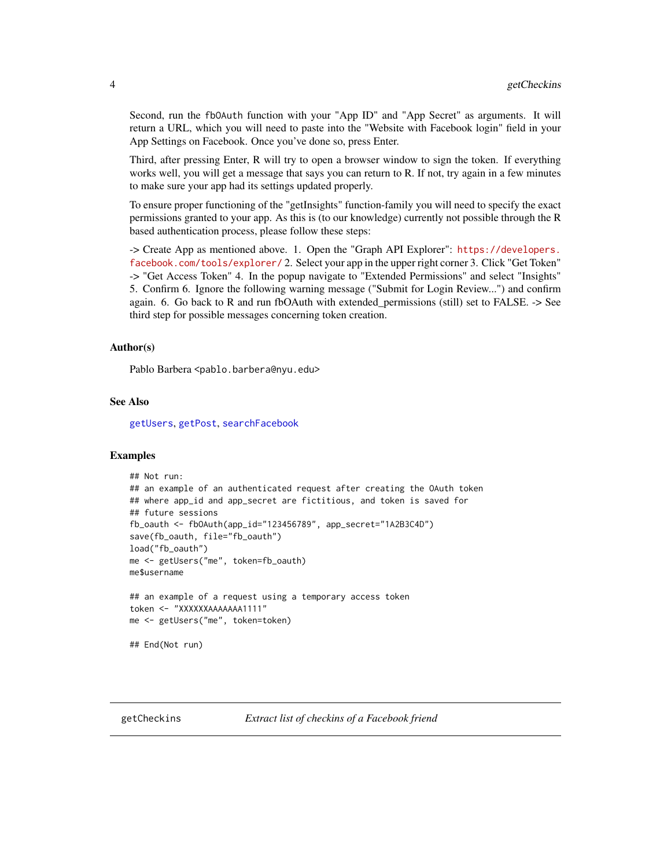<span id="page-3-0"></span>Second, run the fbOAuth function with your "App ID" and "App Secret" as arguments. It will return a URL, which you will need to paste into the "Website with Facebook login" field in your App Settings on Facebook. Once you've done so, press Enter.

Third, after pressing Enter, R will try to open a browser window to sign the token. If everything works well, you will get a message that says you can return to R. If not, try again in a few minutes to make sure your app had its settings updated properly.

To ensure proper functioning of the "getInsights" function-family you will need to specify the exact permissions granted to your app. As this is (to our knowledge) currently not possible through the R based authentication process, please follow these steps:

-> Create App as mentioned above. 1. Open the "Graph API Explorer": [https://developers.](https://developers.facebook.com/tools/explorer/) [facebook.com/tools/explorer/](https://developers.facebook.com/tools/explorer/) 2. Select your app in the upper right corner 3. Click "Get Token" -> "Get Access Token" 4. In the popup navigate to "Extended Permissions" and select "Insights" 5. Confirm 6. Ignore the following warning message ("Submit for Login Review...") and confirm again. 6. Go back to R and run fbOAuth with extended\_permissions (still) set to FALSE. -> See third step for possible messages concerning token creation.

#### Author(s)

Pablo Barbera <pablo.barbera@nyu.edu>

#### See Also

[getUsers](#page-16-1), [getPost](#page-13-1), [searchFacebook](#page-17-1)

#### Examples

```
## Not run:
## an example of an authenticated request after creating the OAuth token
## where app_id and app_secret are fictitious, and token is saved for
## future sessions
fb_oauth <- fbOAuth(app_id="123456789", app_secret="1A2B3C4D")
save(fb_oauth, file="fb_oauth")
load("fb_oauth")
me <- getUsers("me", token=fb_oauth)
me$username
## an example of a request using a temporary access token
token <- "XXXXXXAAAAAAA1111"
me <- getUsers("me", token=token)
## End(Not run)
```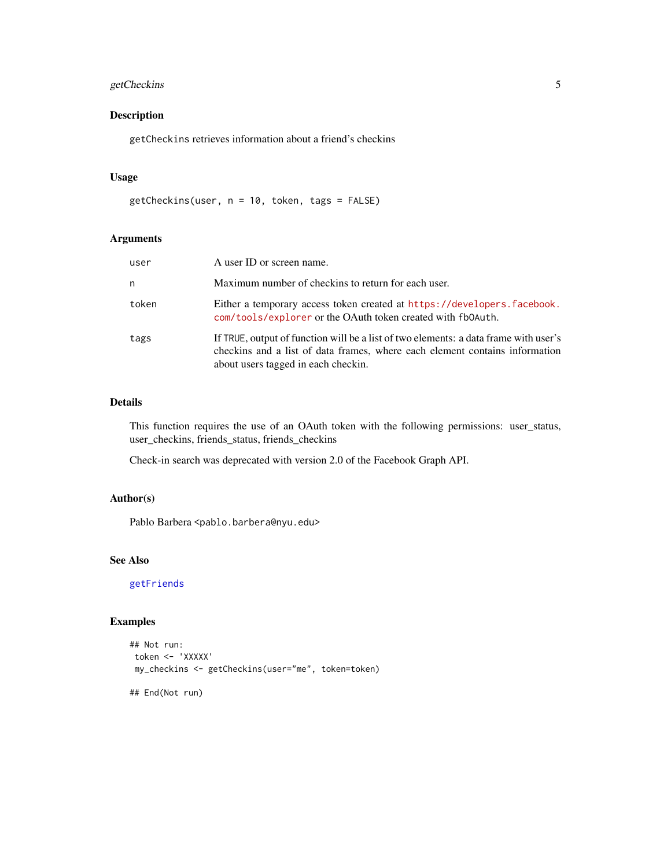#### <span id="page-4-0"></span>getCheckins 5

#### Description

getCheckins retrieves information about a friend's checkins

#### Usage

```
getCheckins(user, n = 10, token, tags = FALSE)
```
#### Arguments

| user  | A user ID or screen name.                                                                                                                                                                                  |
|-------|------------------------------------------------------------------------------------------------------------------------------------------------------------------------------------------------------------|
| n     | Maximum number of checkins to return for each user.                                                                                                                                                        |
| token | Either a temporary access token created at https://developers.facebook.<br>com/tools/explorer or the OAuth token created with fb0Auth.                                                                     |
| tags  | If TRUE, output of function will be a list of two elements: a data frame with user's<br>checkins and a list of data frames, where each element contains information<br>about users tagged in each checkin. |

#### Details

This function requires the use of an OAuth token with the following permissions: user\_status, user\_checkins, friends\_status, friends\_checkins

Check-in search was deprecated with version 2.0 of the Facebook Graph API.

#### Author(s)

Pablo Barbera <pablo.barbera@nyu.edu>

#### See Also

[getFriends](#page-5-1)

#### Examples

```
## Not run:
token <- 'XXXXX'
my_checkins <- getCheckins(user="me", token=token)
```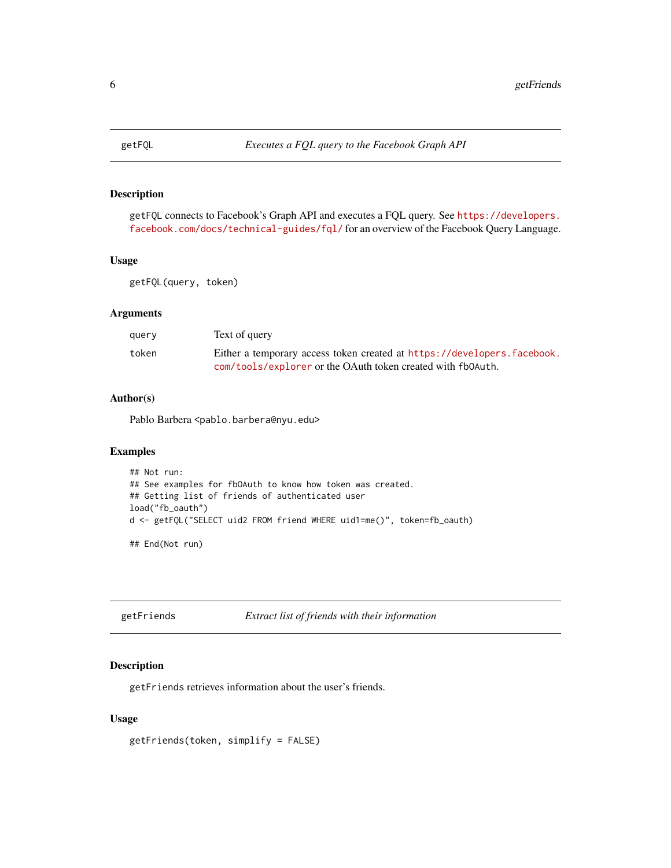<span id="page-5-0"></span>

getFQL connects to Facebook's Graph API and executes a FQL query. See [https://developers.](https://developers.facebook.com/docs/technical-guides/fql/) [facebook.com/docs/technical-guides/fql/](https://developers.facebook.com/docs/technical-guides/fql/) for an overview of the Facebook Query Language.

#### Usage

getFQL(query, token)

#### Arguments

| querv | Text of query                                                           |
|-------|-------------------------------------------------------------------------|
| token | Either a temporary access token created at https://developers.facebook. |
|       | com/tools/explorer or the OAuth token created with fb0Auth.             |

#### Author(s)

Pablo Barbera <pablo.barbera@nyu.edu>

#### Examples

```
## Not run:
## See examples for fbOAuth to know how token was created.
## Getting list of friends of authenticated user
load("fb_oauth")
d <- getFQL("SELECT uid2 FROM friend WHERE uid1=me()", token=fb_oauth)
```
## End(Not run)

<span id="page-5-1"></span>getFriends *Extract list of friends with their information*

#### Description

getFriends retrieves information about the user's friends.

#### Usage

```
getFriends(token, simplify = FALSE)
```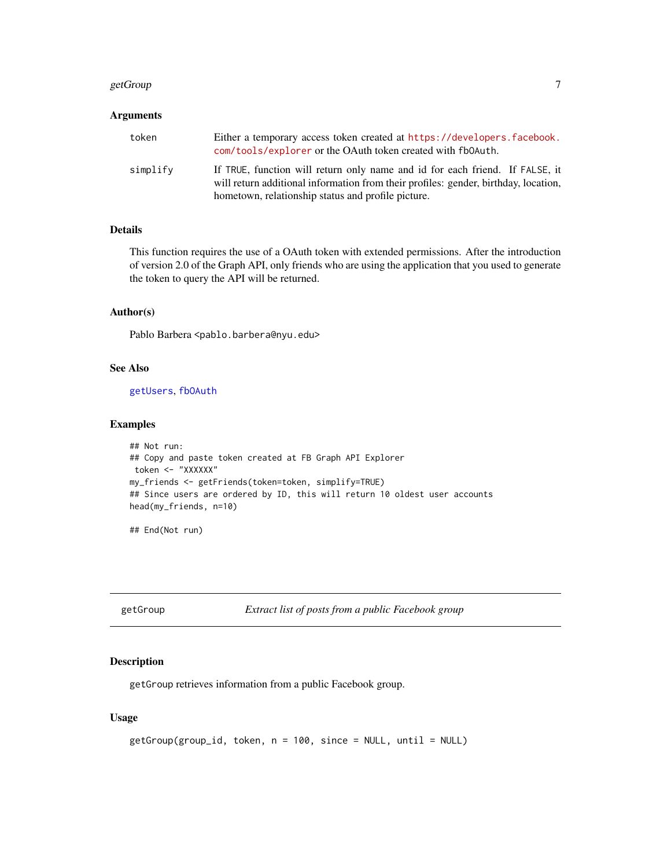#### <span id="page-6-0"></span>getGroup and the set of the set of the set of the set of the set of the set of the set of the set of the set of the set of the set of the set of the set of the set of the set of the set of the set of the set of the set of

#### Arguments

| token    | Either a temporary access token created at https://developers.facebook.<br>com/tools/explorer or the OAuth token created with fb0Auth.                                                                                    |
|----------|---------------------------------------------------------------------------------------------------------------------------------------------------------------------------------------------------------------------------|
| simplify | If TRUE, function will return only name and id for each friend. If FALSE, it<br>will return additional information from their profiles: gender, birthday, location,<br>hometown, relationship status and profile picture. |

### Details

This function requires the use of a OAuth token with extended permissions. After the introduction of version 2.0 of the Graph API, only friends who are using the application that you used to generate the token to query the API will be returned.

#### Author(s)

Pablo Barbera <pablo.barbera@nyu.edu>

#### See Also

[getUsers](#page-16-1), [fbOAuth](#page-2-1)

#### Examples

```
## Not run:
## Copy and paste token created at FB Graph API Explorer
token <- "XXXXXX"
my_friends <- getFriends(token=token, simplify=TRUE)
## Since users are ordered by ID, this will return 10 oldest user accounts
head(my_friends, n=10)
```
## End(Not run)

getGroup *Extract list of posts from a public Facebook group*

#### Description

getGroup retrieves information from a public Facebook group.

#### Usage

```
getGroup(group_id, token, n = 100, since = NULL, until = NULL)
```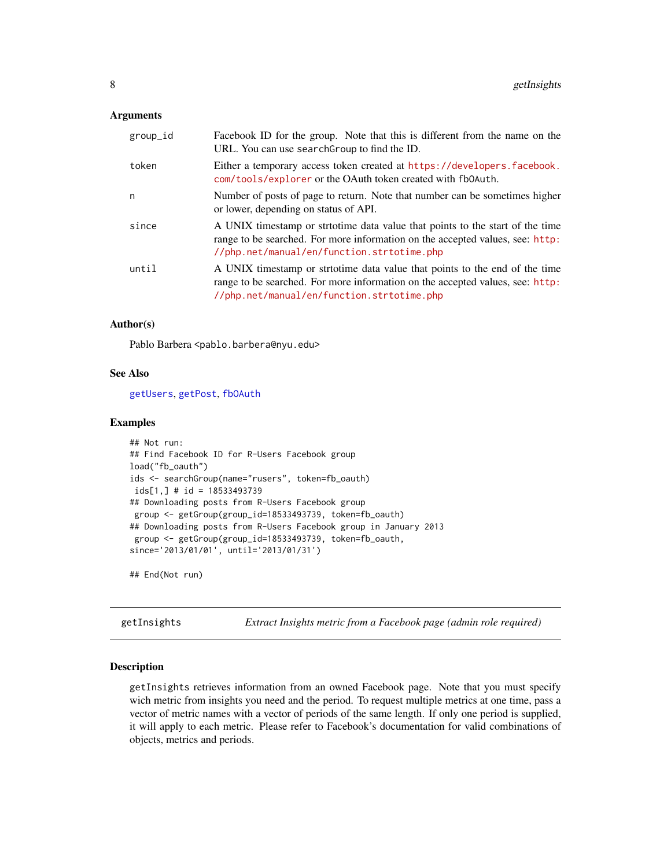#### <span id="page-7-0"></span>**Arguments**

| group_id | Facebook ID for the group. Note that this is different from the name on the<br>URL. You can use searchGroup to find the ID.                                                                                  |
|----------|--------------------------------------------------------------------------------------------------------------------------------------------------------------------------------------------------------------|
| token    | Either a temporary access token created at https://developers.facebook.<br>com/tools/explorer or the OAuth token created with fb0Auth.                                                                       |
| n        | Number of posts of page to return. Note that number can be sometimes higher<br>or lower, depending on status of API.                                                                                         |
| since    | A UNIX timestamp or strtotime data value that points to the start of the time<br>range to be searched. For more information on the accepted values, see: http:<br>//php.net/manual/en/function.strtotime.php |
| until    | A UNIX timestamp or stritotime data value that points to the end of the time<br>range to be searched. For more information on the accepted values, see: http:<br>//php.net/manual/en/function.strtotime.php  |

#### Author(s)

Pablo Barbera <pablo.barbera@nyu.edu>

#### See Also

[getUsers](#page-16-1), [getPost](#page-13-1), [fbOAuth](#page-2-1)

#### Examples

```
## Not run:
## Find Facebook ID for R-Users Facebook group
load("fb_oauth")
ids <- searchGroup(name="rusers", token=fb_oauth)
ids[1,] # id = 18533493739
## Downloading posts from R-Users Facebook group
 group <- getGroup(group_id=18533493739, token=fb_oauth)
## Downloading posts from R-Users Facebook group in January 2013
 group <- getGroup(group_id=18533493739, token=fb_oauth,
since='2013/01/01', until='2013/01/31')
```
## End(Not run)

getInsights *Extract Insights metric from a Facebook page (admin role required)*

#### Description

getInsights retrieves information from an owned Facebook page. Note that you must specify wich metric from insights you need and the period. To request multiple metrics at one time, pass a vector of metric names with a vector of periods of the same length. If only one period is supplied, it will apply to each metric. Please refer to Facebook's documentation for valid combinations of objects, metrics and periods.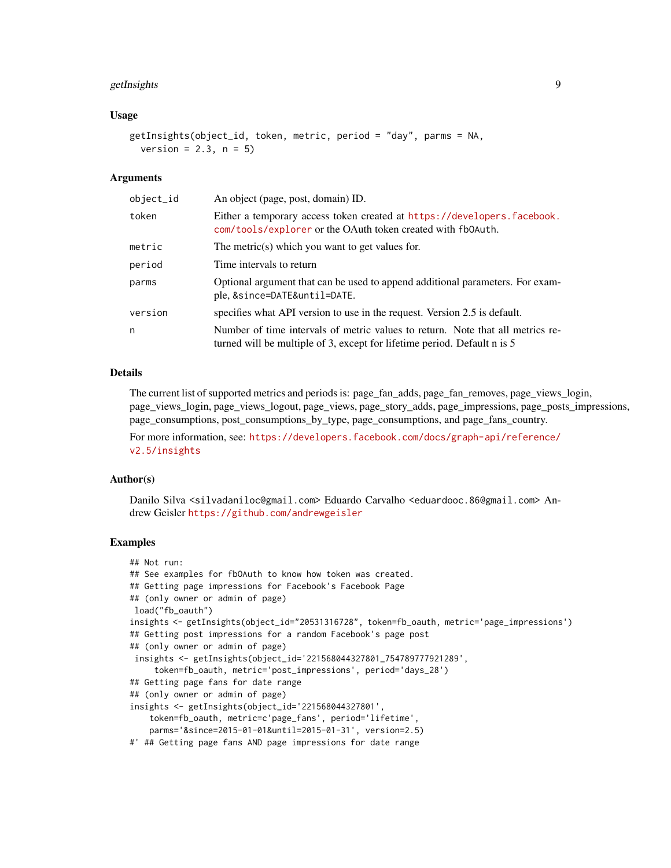#### getInsights 9

#### Usage

```
getInsights(object_id, token, metric, period = "day", parms = NA,
  version = 2.3, n = 5
```
#### Arguments

| object_id | An object (page, post, domain) ID.                                                                                                                         |
|-----------|------------------------------------------------------------------------------------------------------------------------------------------------------------|
| token     | Either a temporary access token created at https://developers.facebook.<br>com/tools/explorer or the OAuth token created with fb0Auth.                     |
| metric    | The metric(s) which you want to get values for.                                                                                                            |
| period    | Time intervals to return                                                                                                                                   |
| parms     | Optional argument that can be used to append additional parameters. For exam-<br>ple, &since=DATE&until=DATE.                                              |
| version   | specifies what API version to use in the request. Version 2.5 is default.                                                                                  |
| n         | Number of time intervals of metric values to return. Note that all metrics re-<br>turned will be multiple of 3, except for lifetime period. Default n is 5 |

#### Details

The current list of supported metrics and periods is: page fan adds, page fan removes, page views login, page\_views\_login, page\_views\_logout, page\_views, page\_story\_adds, page\_impressions, page\_posts\_impressions, page\_consumptions, post\_consumptions\_by\_type, page\_consumptions, and page\_fans\_country.

For more information, see: [https://developers.facebook.com/docs/graph-api/reference/](https://developers.facebook.com/docs/graph-api/reference/v2.5/insights) [v2.5/insights](https://developers.facebook.com/docs/graph-api/reference/v2.5/insights)

#### Author(s)

Danilo Silva <silvadaniloc@gmail.com> Eduardo Carvalho <eduardooc.86@gmail.com> Andrew Geisler <https://github.com/andrewgeisler>

#### Examples

```
## Not run:
## See examples for fbOAuth to know how token was created.
## Getting page impressions for Facebook's Facebook Page
## (only owner or admin of page)
load("fb_oauth")
insights <- getInsights(object_id="20531316728", token=fb_oauth, metric='page_impressions')
## Getting post impressions for a random Facebook's page post
## (only owner or admin of page)
insights <- getInsights(object_id='221568044327801_754789777921289',
     token=fb_oauth, metric='post_impressions', period='days_28')
## Getting page fans for date range
## (only owner or admin of page)
insights <- getInsights(object_id='221568044327801',
    token=fb_oauth, metric=c'page_fans', period='lifetime',
   parms='&since=2015-01-01&until=2015-01-31', version=2.5)
#' ## Getting page fans AND page impressions for date range
```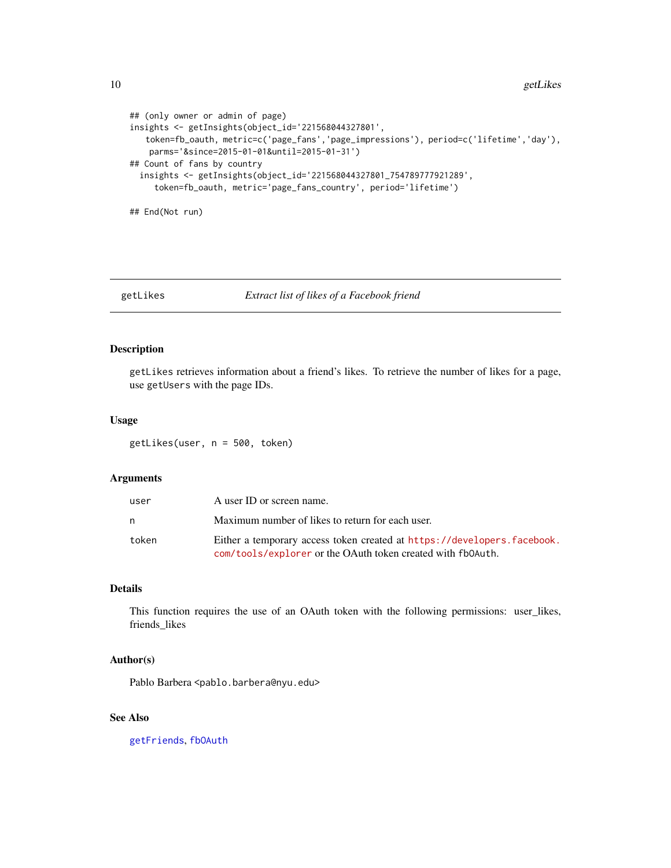```
## (only owner or admin of page)
insights <- getInsights(object_id='221568044327801',
   token=fb_oauth, metric=c('page_fans','page_impressions'), period=c('lifetime','day'),
   parms='&since=2015-01-01&until=2015-01-31')
## Count of fans by country
 insights <- getInsights(object_id='221568044327801_754789777921289',
    token=fb_oauth, metric='page_fans_country', period='lifetime')
## End(Not run)
```
#### getLikes *Extract list of likes of a Facebook friend*

#### Description

getLikes retrieves information about a friend's likes. To retrieve the number of likes for a page, use getUsers with the page IDs.

#### Usage

getLikes(user, n = 500, token)

#### Arguments

| user  | A user ID or screen name.                                                                                                              |
|-------|----------------------------------------------------------------------------------------------------------------------------------------|
| n     | Maximum number of likes to return for each user.                                                                                       |
| token | Either a temporary access token created at https://developers.facebook.<br>com/tools/explorer or the OAuth token created with fb0Auth. |

#### Details

This function requires the use of an OAuth token with the following permissions: user\_likes, friends\_likes

#### Author(s)

Pablo Barbera <pablo.barbera@nyu.edu>

#### See Also

[getFriends](#page-5-1), [fbOAuth](#page-2-1)

<span id="page-9-0"></span>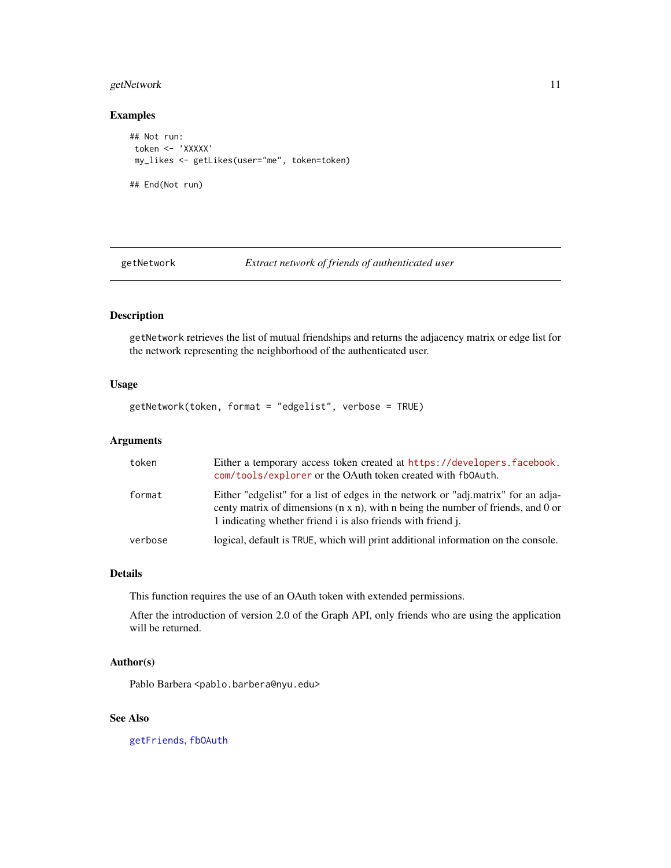#### <span id="page-10-0"></span>getNetwork 11

#### Examples

```
## Not run:
token <- 'XXXXX'
my_likes <- getLikes(user="me", token=token)
## End(Not run)
```
<span id="page-10-1"></span>getNetwork *Extract network of friends of authenticated user*

#### Description

getNetwork retrieves the list of mutual friendships and returns the adjacency matrix or edge list for the network representing the neighborhood of the authenticated user.

#### Usage

getNetwork(token, format = "edgelist", verbose = TRUE)

#### Arguments

| token   | Either a temporary access token created at https://developers.facebook.<br>com/tools/explorer or the OAuth token created with fb0Auth.                                                                                                        |
|---------|-----------------------------------------------------------------------------------------------------------------------------------------------------------------------------------------------------------------------------------------------|
| format  | Either "edgelist" for a list of edges in the network or "adj.matrix" for an adja-<br>centy matrix of dimensions $(n \times n)$ , with n being the number of friends, and 0 or<br>1 indicating whether friend i is also friends with friend j. |
| verbose | logical, default is TRUE, which will print additional information on the console.                                                                                                                                                             |

#### Details

This function requires the use of an OAuth token with extended permissions.

After the introduction of version 2.0 of the Graph API, only friends who are using the application will be returned.

#### Author(s)

Pablo Barbera <pablo.barbera@nyu.edu>

#### See Also

[getFriends](#page-5-1), [fbOAuth](#page-2-1)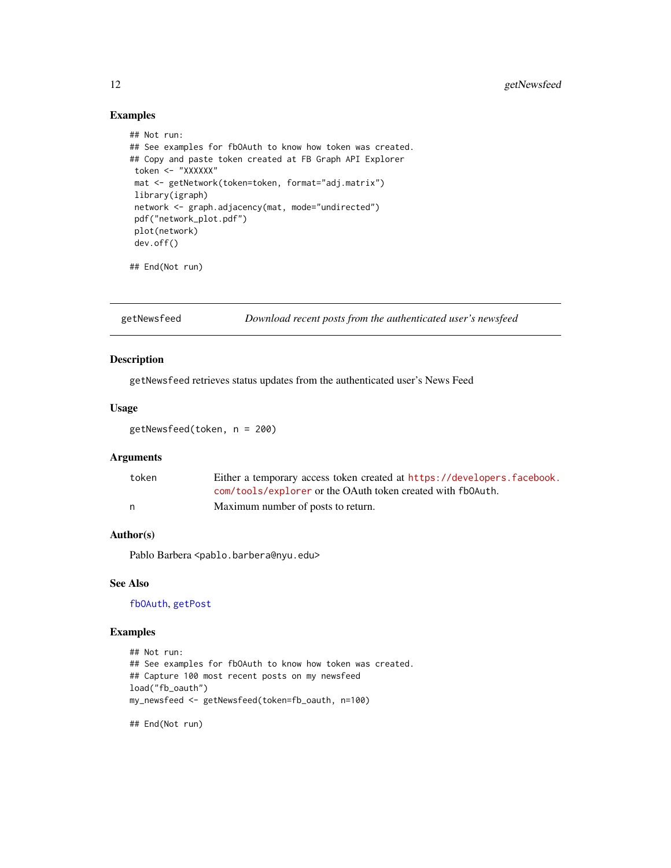#### Examples

```
## Not run:
## See examples for fbOAuth to know how token was created.
## Copy and paste token created at FB Graph API Explorer
token <- "XXXXXX"
mat <- getNetwork(token=token, format="adj.matrix")
library(igraph)
 network <- graph.adjacency(mat, mode="undirected")
 pdf("network_plot.pdf")
 plot(network)
 dev.off()
```
## End(Not run)

getNewsfeed *Download recent posts from the authenticated user's newsfeed*

#### Description

getNewsfeed retrieves status updates from the authenticated user's News Feed

#### Usage

getNewsfeed(token, n = 200)

#### Arguments

| token | Either a temporary access token created at https://developers.facebook. |
|-------|-------------------------------------------------------------------------|
|       | com/tools/explorer or the OAuth token created with fb0Auth.             |
|       | Maximum number of posts to return.                                      |

#### Author(s)

Pablo Barbera <pablo.barbera@nyu.edu>

#### See Also

[fbOAuth](#page-2-1), [getPost](#page-13-1)

#### Examples

```
## Not run:
## See examples for fbOAuth to know how token was created.
## Capture 100 most recent posts on my newsfeed
load("fb_oauth")
my_newsfeed <- getNewsfeed(token=fb_oauth, n=100)
```
<span id="page-11-0"></span>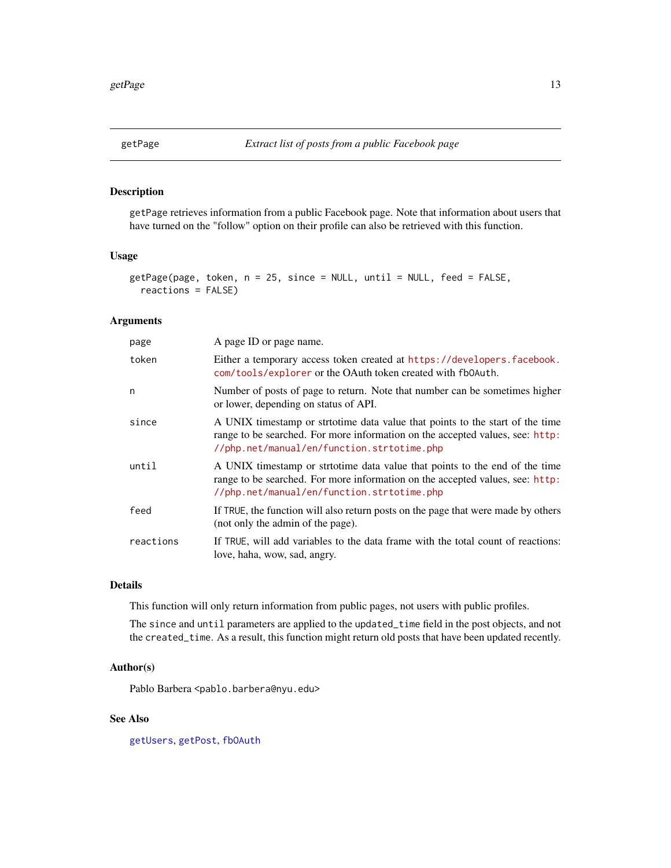<span id="page-12-1"></span><span id="page-12-0"></span>

getPage retrieves information from a public Facebook page. Note that information about users that have turned on the "follow" option on their profile can also be retrieved with this function.

#### Usage

```
getPage(page, token, n = 25, since = NULL, until = NULL, feed = FALSE,
 reactions = FALSE)
```
#### Arguments

| page      | A page ID or page name.                                                                                                                                                                                      |
|-----------|--------------------------------------------------------------------------------------------------------------------------------------------------------------------------------------------------------------|
| token     | Either a temporary access token created at https://developers.facebook.<br>com/tools/explorer or the OAuth token created with fb0Auth.                                                                       |
| n         | Number of posts of page to return. Note that number can be sometimes higher<br>or lower, depending on status of API.                                                                                         |
| since     | A UNIX timestamp or strtotime data value that points to the start of the time<br>range to be searched. For more information on the accepted values, see: http:<br>//php.net/manual/en/function.strtotime.php |
| until     | A UNIX timestamp or strtotime data value that points to the end of the time<br>range to be searched. For more information on the accepted values, see: http:<br>//php.net/manual/en/function.strtotime.php   |
| feed      | If TRUE, the function will also return posts on the page that were made by others<br>(not only the admin of the page).                                                                                       |
| reactions | If TRUE, will add variables to the data frame with the total count of reactions:<br>love, haha, wow, sad, angry.                                                                                             |

#### Details

This function will only return information from public pages, not users with public profiles.

The since and until parameters are applied to the updated\_time field in the post objects, and not the created\_time. As a result, this function might return old posts that have been updated recently.

#### Author(s)

Pablo Barbera <pablo.barbera@nyu.edu>

#### See Also

[getUsers](#page-16-1), [getPost](#page-13-1), [fbOAuth](#page-2-1)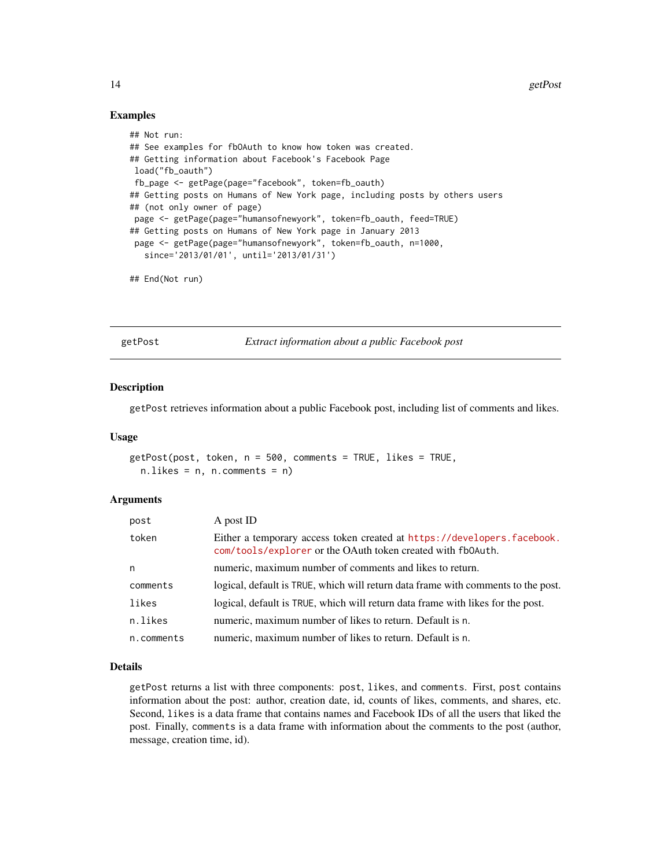#### Examples

```
## Not run:
## See examples for fbOAuth to know how token was created.
## Getting information about Facebook's Facebook Page
load("fb_oauth")
fb_page <- getPage(page="facebook", token=fb_oauth)
## Getting posts on Humans of New York page, including posts by others users
## (not only owner of page)
page <- getPage(page="humansofnewyork", token=fb_oauth, feed=TRUE)
## Getting posts on Humans of New York page in January 2013
page <- getPage(page="humansofnewyork", token=fb_oauth, n=1000,
  since='2013/01/01', until='2013/01/31')
```
## End(Not run)

<span id="page-13-1"></span>getPost *Extract information about a public Facebook post*

#### **Description**

getPost retrieves information about a public Facebook post, including list of comments and likes.

#### Usage

```
getPost(post, token, n = 500, comments = TRUE, likes = TRUE,
  n. likes = n, n. comments = n)
```
#### Arguments

| post       | A post ID                                                                                                                              |
|------------|----------------------------------------------------------------------------------------------------------------------------------------|
| token      | Either a temporary access token created at https://developers.facebook.<br>com/tools/explorer or the OAuth token created with fb0Auth. |
| n          | numeric, maximum number of comments and likes to return.                                                                               |
| comments   | logical, default is TRUE, which will return data frame with comments to the post.                                                      |
| likes      | logical, default is TRUE, which will return data frame with likes for the post.                                                        |
| n.likes    | numeric, maximum number of likes to return. Default is n.                                                                              |
| n.comments | numeric, maximum number of likes to return. Default is n.                                                                              |

#### Details

getPost returns a list with three components: post, likes, and comments. First, post contains information about the post: author, creation date, id, counts of likes, comments, and shares, etc. Second, likes is a data frame that contains names and Facebook IDs of all the users that liked the post. Finally, comments is a data frame with information about the comments to the post (author, message, creation time, id).

<span id="page-13-0"></span>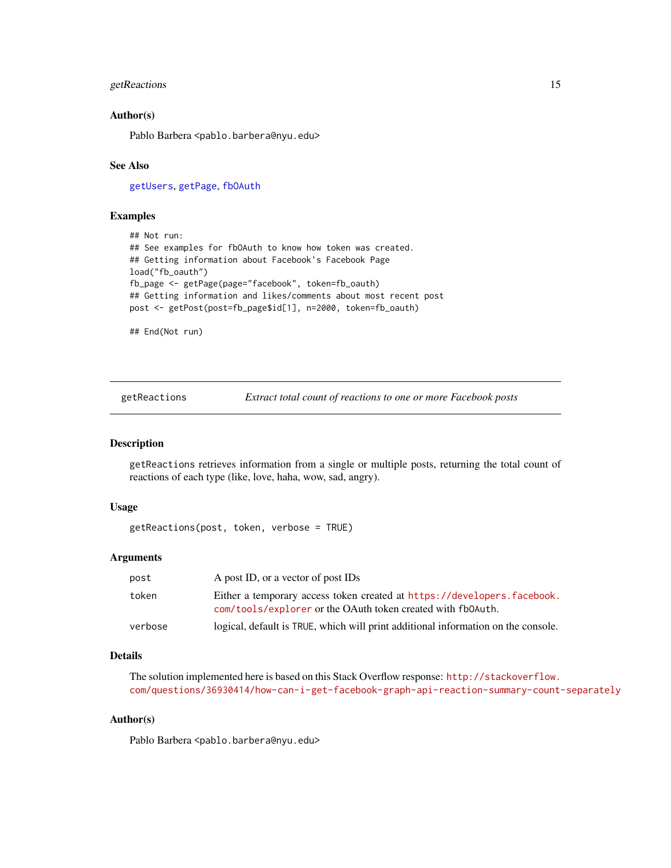#### <span id="page-14-0"></span>getReactions 15

#### Author(s)

Pablo Barbera <pablo.barbera@nyu.edu>

#### See Also

[getUsers](#page-16-1), [getPage](#page-12-1), [fbOAuth](#page-2-1)

#### Examples

```
## Not run:
## See examples for fbOAuth to know how token was created.
## Getting information about Facebook's Facebook Page
load("fb_oauth")
fb_page <- getPage(page="facebook", token=fb_oauth)
## Getting information and likes/comments about most recent post
post <- getPost(post=fb_page$id[1], n=2000, token=fb_oauth)
```
## End(Not run)

getReactions *Extract total count of reactions to one or more Facebook posts*

#### Description

getReactions retrieves information from a single or multiple posts, returning the total count of reactions of each type (like, love, haha, wow, sad, angry).

#### Usage

getReactions(post, token, verbose = TRUE)

#### Arguments

| post    | A post ID, or a vector of post IDs                                                                                                     |
|---------|----------------------------------------------------------------------------------------------------------------------------------------|
| token   | Either a temporary access token created at https://developers.facebook.<br>com/tools/explorer or the OAuth token created with fb0Auth. |
| verbose | logical, default is TRUE, which will print additional information on the console.                                                      |

#### Details

The solution implemented here is based on this Stack Overflow response: [http://stackoverflow.](http://stackoverflow.com/questions/36930414/how-can-i-get-facebook-graph-api-reaction-summary-count-separately) [com/questions/36930414/how-can-i-get-facebook-graph-api-reaction-summary-count-separately](http://stackoverflow.com/questions/36930414/how-can-i-get-facebook-graph-api-reaction-summary-count-separately)

#### Author(s)

Pablo Barbera <pablo.barbera@nyu.edu>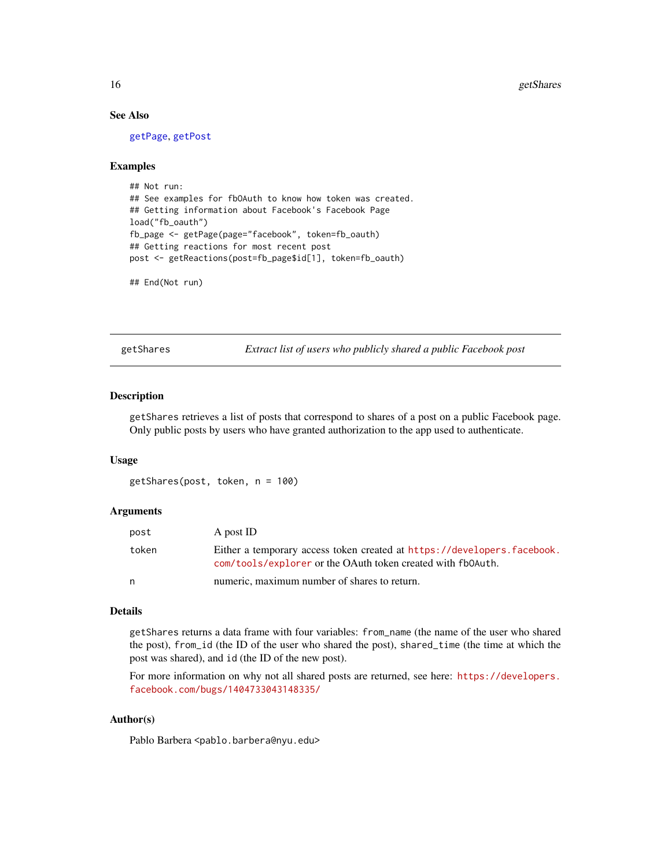#### See Also

[getPage](#page-12-1), [getPost](#page-13-1)

#### Examples

```
## Not run:
## See examples for fbOAuth to know how token was created.
## Getting information about Facebook's Facebook Page
load("fb_oauth")
fb_page <- getPage(page="facebook", token=fb_oauth)
## Getting reactions for most recent post
post <- getReactions(post=fb_page$id[1], token=fb_oauth)
```

```
## End(Not run)
```
getShares *Extract list of users who publicly shared a public Facebook post*

#### Description

getShares retrieves a list of posts that correspond to shares of a post on a public Facebook page. Only public posts by users who have granted authorization to the app used to authenticate.

#### Usage

getShares(post, token, n = 100)

#### Arguments

| post  | A post ID                                                                                                                              |
|-------|----------------------------------------------------------------------------------------------------------------------------------------|
| token | Either a temporary access token created at https://developers.facebook.<br>com/tools/explorer or the OAuth token created with fb0Auth. |
| n     | numeric, maximum number of shares to return.                                                                                           |

#### Details

getShares returns a data frame with four variables: from\_name (the name of the user who shared the post), from\_id (the ID of the user who shared the post), shared\_time (the time at which the post was shared), and id (the ID of the new post).

For more information on why not all shared posts are returned, see here: [https://developers.](https://developers.facebook.com/bugs/1404733043148335/) [facebook.com/bugs/1404733043148335/](https://developers.facebook.com/bugs/1404733043148335/)

#### Author(s)

Pablo Barbera <pablo.barbera@nyu.edu>

<span id="page-15-0"></span>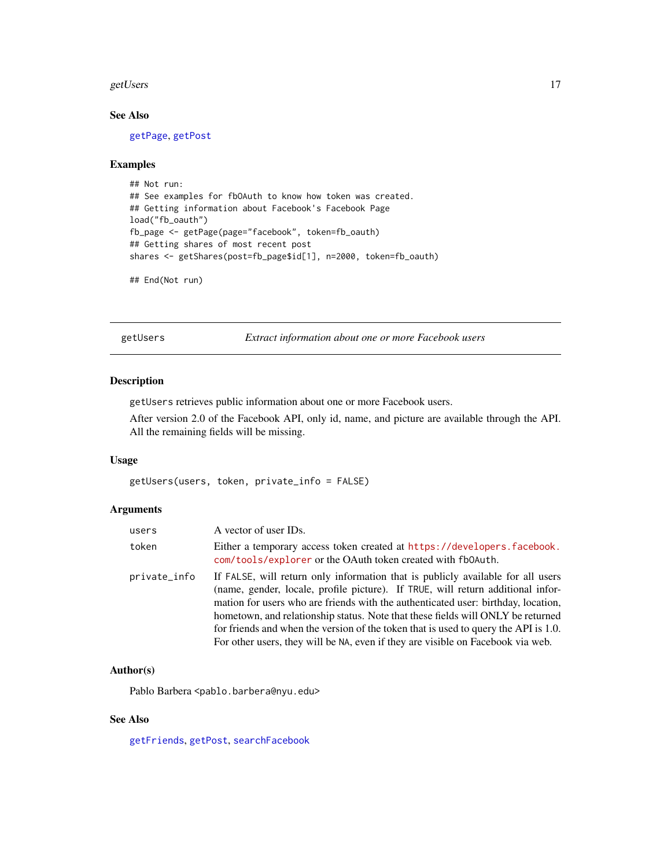#### <span id="page-16-0"></span>getUsers and the set of the set of the set of the set of the set of the set of the set of the set of the set of the set of the set of the set of the set of the set of the set of the set of the set of the set of the set of

#### See Also

[getPage](#page-12-1), [getPost](#page-13-1)

#### Examples

```
## Not run:
## See examples for fbOAuth to know how token was created.
## Getting information about Facebook's Facebook Page
load("fb_oauth")
fb_page <- getPage(page="facebook", token=fb_oauth)
## Getting shares of most recent post
shares <- getShares(post=fb_page$id[1], n=2000, token=fb_oauth)
```

```
## End(Not run)
```
<span id="page-16-1"></span>getUsers *Extract information about one or more Facebook users*

#### Description

getUsers retrieves public information about one or more Facebook users.

After version 2.0 of the Facebook API, only id, name, and picture are available through the API. All the remaining fields will be missing.

#### Usage

getUsers(users, token, private\_info = FALSE)

#### Arguments

| users        | A vector of user IDs.                                                                                                                                                                                                                                                                                                                                                                                                                                                                                                |
|--------------|----------------------------------------------------------------------------------------------------------------------------------------------------------------------------------------------------------------------------------------------------------------------------------------------------------------------------------------------------------------------------------------------------------------------------------------------------------------------------------------------------------------------|
| token        | Either a temporary access token created at https://developers.facebook.<br>com/tools/explorer or the OAuth token created with fb0Auth.                                                                                                                                                                                                                                                                                                                                                                               |
| private_info | If FALSE, will return only information that is publicly available for all users<br>(name, gender, locale, profile picture). If TRUE, will return additional infor-<br>mation for users who are friends with the authenticated user: birthday, location,<br>hometown, and relationship status. Note that these fields will ONLY be returned<br>for friends and when the version of the token that is used to query the API is 1.0.<br>For other users, they will be NA, even if they are visible on Facebook via web. |

#### Author(s)

Pablo Barbera <pablo.barbera@nyu.edu>

#### See Also

[getFriends](#page-5-1), [getPost](#page-13-1), [searchFacebook](#page-17-1)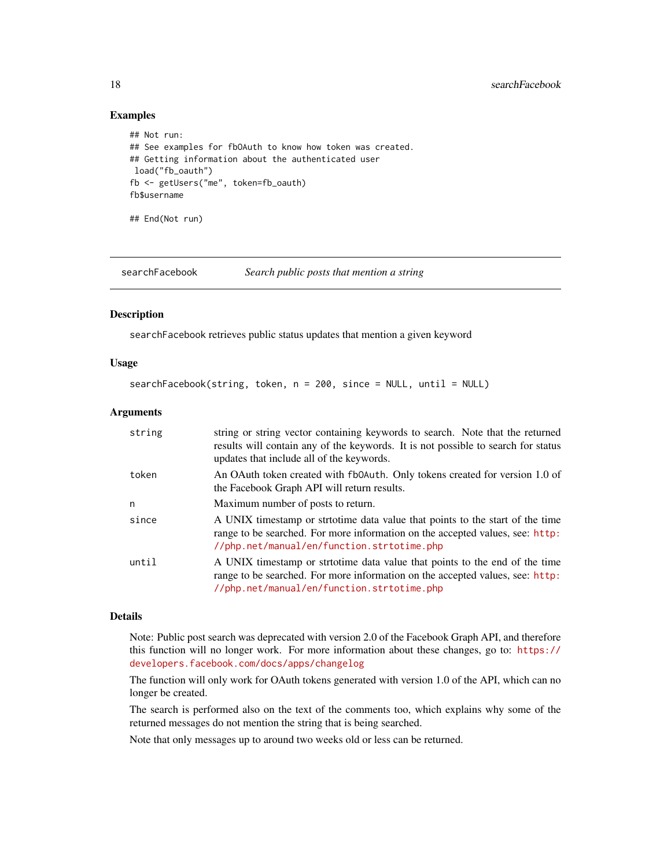#### Examples

```
## Not run:
## See examples for fbOAuth to know how token was created.
## Getting information about the authenticated user
load("fb_oauth")
fb <- getUsers("me", token=fb_oauth)
fb$username
```
## End(Not run)

<span id="page-17-1"></span>searchFacebook *Search public posts that mention a string*

#### Description

searchFacebook retrieves public status updates that mention a given keyword

#### Usage

```
searchFacebook(string, token, n = 200, since = NULL, until = NULL)
```
#### Arguments

| string | string or string vector containing keywords to search. Note that the returned<br>results will contain any of the keywords. It is not possible to search for status<br>updates that include all of the keywords. |
|--------|-----------------------------------------------------------------------------------------------------------------------------------------------------------------------------------------------------------------|
| token  | An OAuth token created with fb0Auth. Only tokens created for version 1.0 of<br>the Facebook Graph API will return results.                                                                                      |
| n      | Maximum number of posts to return.                                                                                                                                                                              |
| since  | A UNIX timestamp or strtotime data value that points to the start of the time<br>range to be searched. For more information on the accepted values, see: http:<br>//php.net/manual/en/function.strtotime.php    |
| until  | A UNIX timestamp or strtotime data value that points to the end of the time<br>range to be searched. For more information on the accepted values, see: http:<br>//php.net/manual/en/function.strtotime.php      |

#### Details

Note: Public post search was deprecated with version 2.0 of the Facebook Graph API, and therefore this function will no longer work. For more information about these changes, go to: [https://](https://developers.facebook.com/docs/apps/changelog) [developers.facebook.com/docs/apps/changelog](https://developers.facebook.com/docs/apps/changelog)

The function will only work for OAuth tokens generated with version 1.0 of the API, which can no longer be created.

The search is performed also on the text of the comments too, which explains why some of the returned messages do not mention the string that is being searched.

Note that only messages up to around two weeks old or less can be returned.

<span id="page-17-0"></span>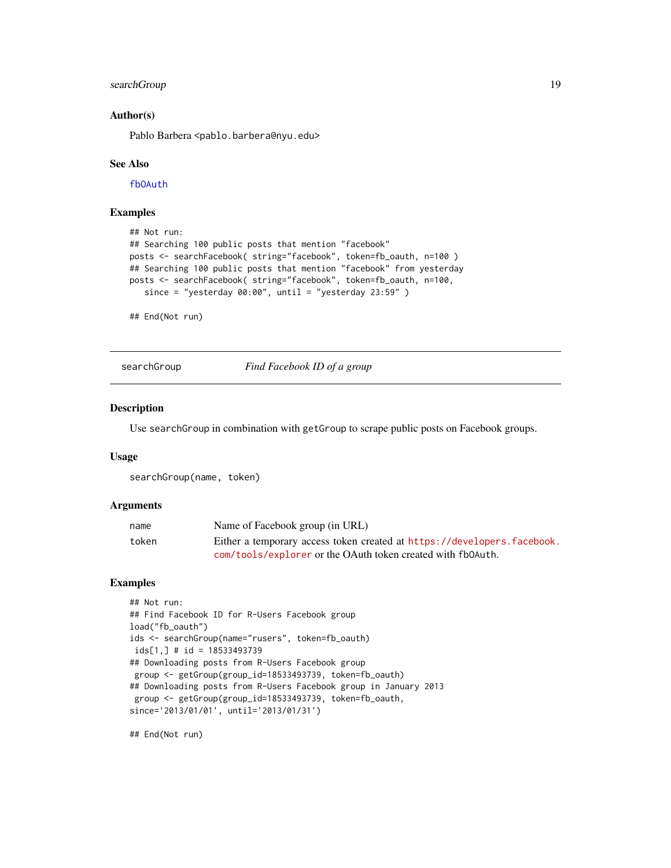#### <span id="page-18-0"></span>searchGroup 19

#### Author(s)

Pablo Barbera <pablo.barbera@nyu.edu>

#### See Also

[fbOAuth](#page-2-1)

#### Examples

```
## Not run:
## Searching 100 public posts that mention "facebook"
posts <- searchFacebook( string="facebook", token=fb_oauth, n=100 )
## Searching 100 public posts that mention "facebook" from yesterday
posts <- searchFacebook( string="facebook", token=fb_oauth, n=100,
   since = "yesterday 00:00", until = "yesterday 23:59" )
```
## End(Not run)

searchGroup *Find Facebook ID of a group*

#### Description

Use searchGroup in combination with getGroup to scrape public posts on Facebook groups.

#### Usage

searchGroup(name, token)

#### Arguments

| name  | Name of Facebook group (in URL)                                         |
|-------|-------------------------------------------------------------------------|
| token | Either a temporary access token created at https://developers.facebook. |
|       | com/tools/explorer or the OAuth token created with fb0Auth.             |

#### Examples

```
## Not run:
## Find Facebook ID for R-Users Facebook group
load("fb_oauth")
ids <- searchGroup(name="rusers", token=fb_oauth)
ids[1,] # id = 18533493739
## Downloading posts from R-Users Facebook group
group <- getGroup(group_id=18533493739, token=fb_oauth)
## Downloading posts from R-Users Facebook group in January 2013
group <- getGroup(group_id=18533493739, token=fb_oauth,
since='2013/01/01', until='2013/01/31')
```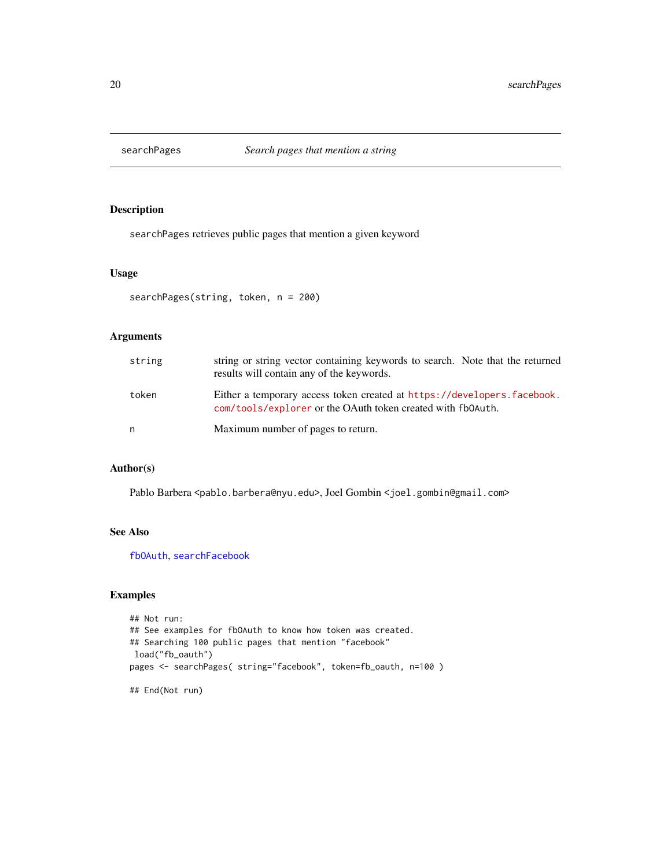<span id="page-19-0"></span>

searchPages retrieves public pages that mention a given keyword

#### Usage

```
searchPages(string, token, n = 200)
```
#### Arguments

| string | string or string vector containing keywords to search. Note that the returned<br>results will contain any of the keywords.             |
|--------|----------------------------------------------------------------------------------------------------------------------------------------|
| token  | Either a temporary access token created at https://developers.facebook.<br>com/tools/explorer or the OAuth token created with fb0Auth. |
| n      | Maximum number of pages to return.                                                                                                     |

#### Author(s)

Pablo Barbera <pablo.barbera@nyu.edu>, Joel Gombin <joel.gombin@gmail.com>

### See Also

[fbOAuth](#page-2-1), [searchFacebook](#page-17-1)

#### Examples

```
## Not run:
## See examples for fbOAuth to know how token was created.
## Searching 100 public pages that mention "facebook"
load("fb_oauth")
pages <- searchPages( string="facebook", token=fb_oauth, n=100 )
```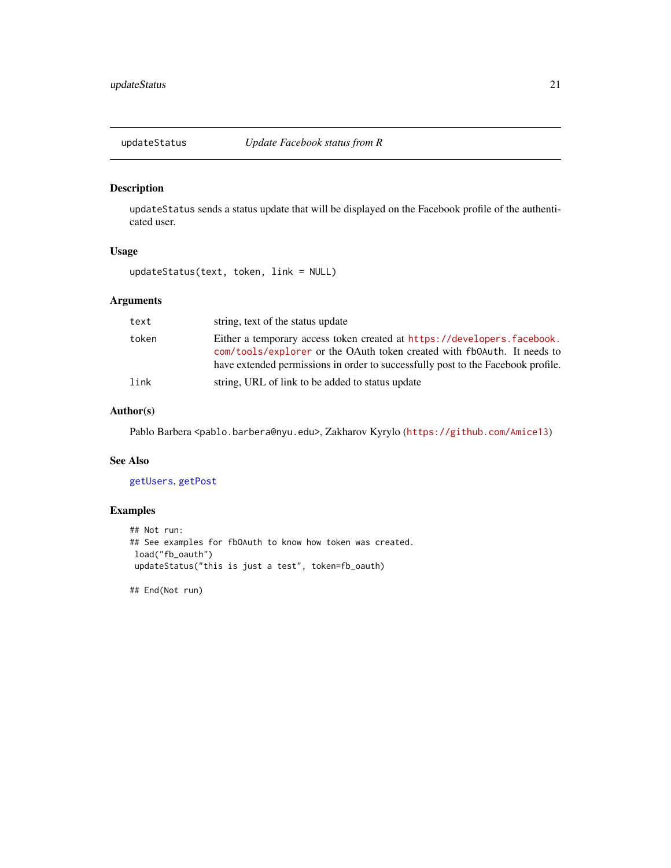<span id="page-20-1"></span><span id="page-20-0"></span>

updateStatus sends a status update that will be displayed on the Facebook profile of the authenticated user.

#### Usage

updateStatus(text, token, link = NULL)

#### Arguments

| text  | string, text of the status update                                                                                                                                                                                                      |
|-------|----------------------------------------------------------------------------------------------------------------------------------------------------------------------------------------------------------------------------------------|
| token | Either a temporary access token created at https://developers.facebook.<br>com/tools/explorer or the OAuth token created with fb0Auth. It needs to<br>have extended permissions in order to successfully post to the Facebook profile. |
| link  | string, URL of link to be added to status update                                                                                                                                                                                       |

#### Author(s)

Pablo Barbera <pablo.barbera@nyu.edu>, Zakharov Kyrylo (<https://github.com/Amice13>)

#### See Also

#### [getUsers](#page-16-1), [getPost](#page-13-1)

#### Examples

```
## Not run:
## See examples for fbOAuth to know how token was created.
load("fb_oauth")
updateStatus("this is just a test", token=fb_oauth)
```